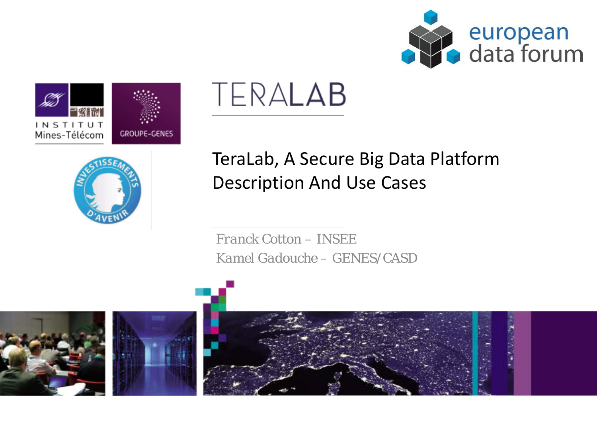







#### TeraLab, A Secure Big Data Platform Description And Use Cases

*Franck Cotton – INSEE Kamel Gadouche – GENES/CASD*





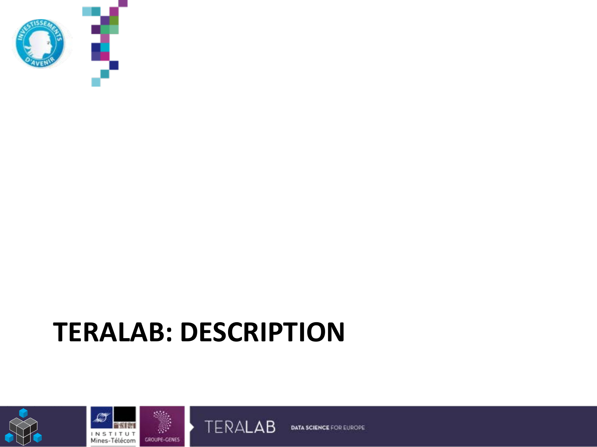

### **TERALAB: DESCRIPTION**





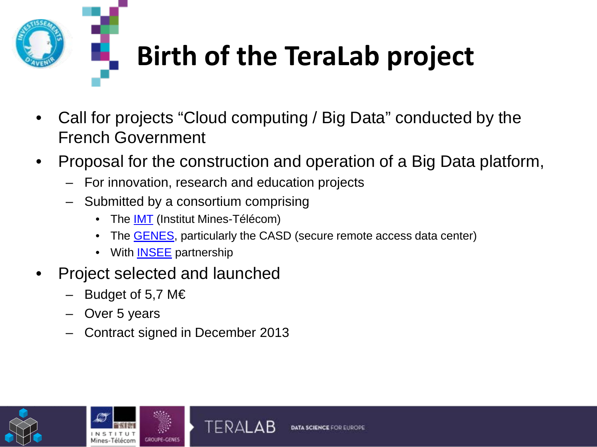

- Call for projects "Cloud computing / Big Data" conducted by the French Government
- Proposal for the construction and operation of a Big Data platform,
	- For innovation, research and education projects
	- Submitted by a consortium comprising
		- The [IMT](http://www.mines-telecom.fr/en/) (Institut Mines-Télécom)
		- The [GENES](http://www.groupe-genes.fr/en/), particularly the CASD (secure remote access data center)
		- With [INSEE](http://www.insee.fr/en/) partnership
- Project selected and launched
	- Budget of 5,7 M $\in$
	- Over 5 years
	- Contract signed in December 2013



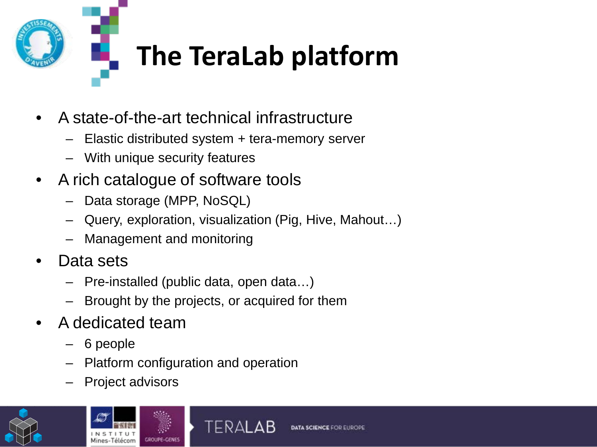

- A state-of-the-art technical infrastructure
	- Elastic distributed system + tera-memory server
	- With unique security features
- A rich catalogue of software tools
	- Data storage (MPP, NoSQL)
	- Query, exploration, visualization (Pig, Hive, Mahout…)
	- Management and monitoring
- Data sets
	- Pre-installed (public data, open data…)
	- Brought by the projects, or acquired for them
- A dedicated team
	- 6 people
	- Platform configuration and operation
	- Project advisors



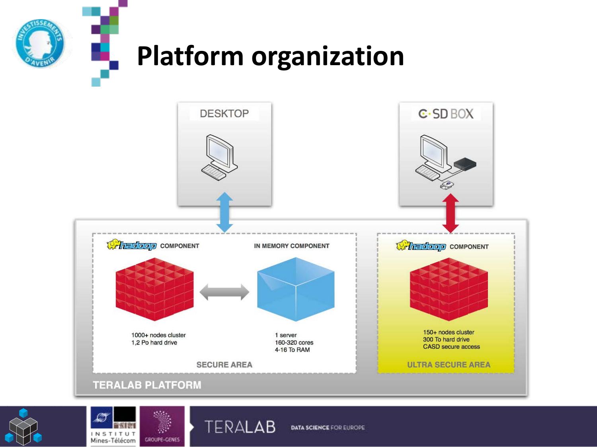







**DATA SCIENCE FOR EUROPE** 

**TERALAB**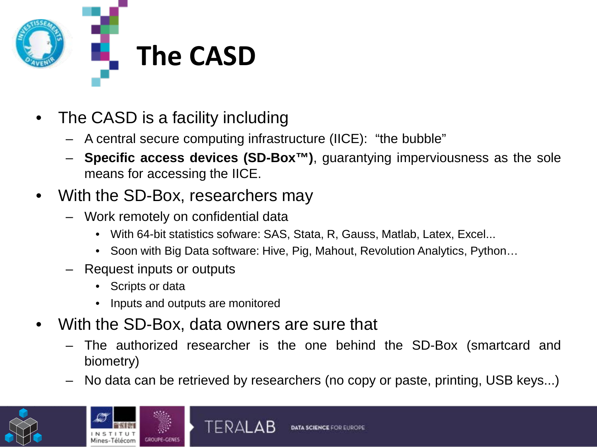

- The CASD is a facility including
	- A central secure computing infrastructure (IICE): "the bubble"
	- **Specific access devices (SD-Box™)**, guarantying imperviousness as the sole means for accessing the IICE.
- With the SD-Box, researchers may
	- Work remotely on confidential data
		- With 64-bit statistics sofware: SAS, Stata, R, Gauss, Matlab, Latex, Excel...
		- Soon with Big Data software: Hive, Pig, Mahout, Revolution Analytics, Python...
	- Request inputs or outputs
		- Scripts or data
		- Inputs and outputs are monitored
- With the SD-Box, data owners are sure that
	- The authorized researcher is the one behind the SD-Box (smartcard and biometry)
	- No data can be retrieved by researchers (no copy or paste, printing, USB keys...)



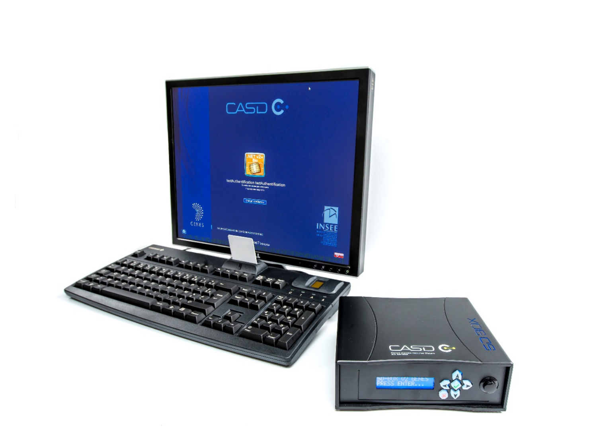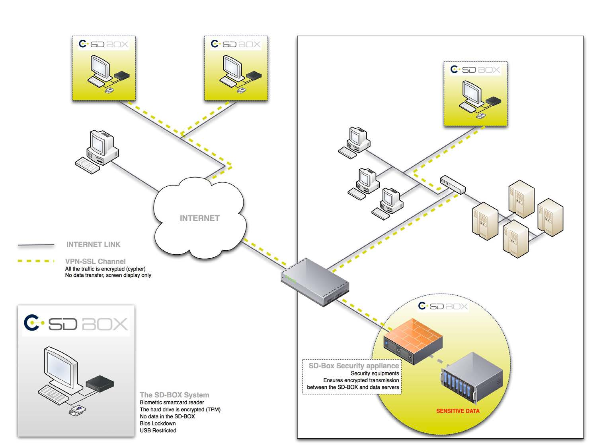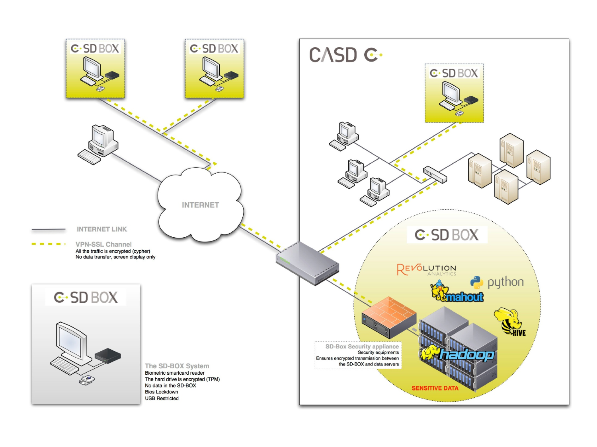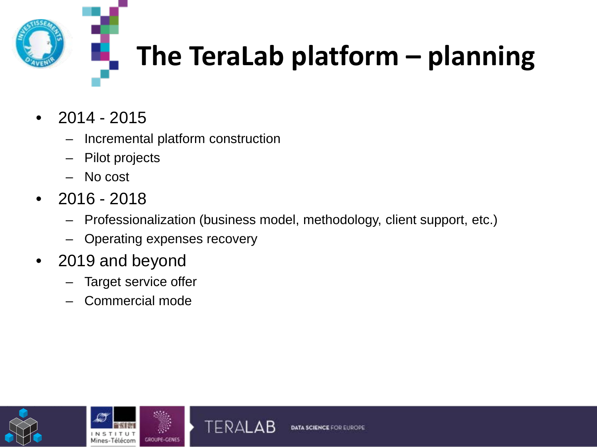

## **The TeraLab platform – planning**

- $2014 2015$ 
	- Incremental platform construction
	- Pilot projects
	- No cost
- 2016 2018
	- Professionalization (business model, methodology, client support, etc.)
	- Operating expenses recovery
- 2019 and beyond

INS

- Target service offer
- Commercial mode





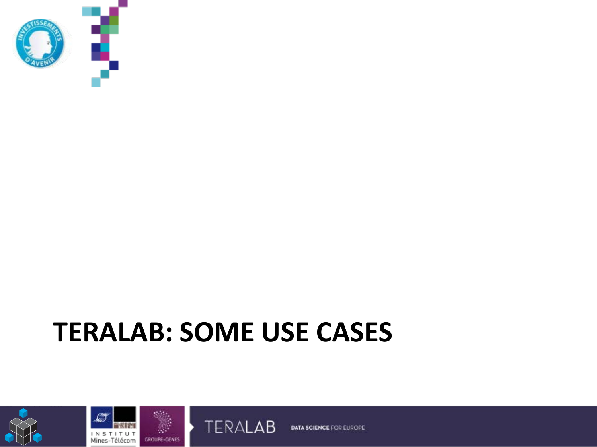

#### **TERALAB: SOME USE CASES**





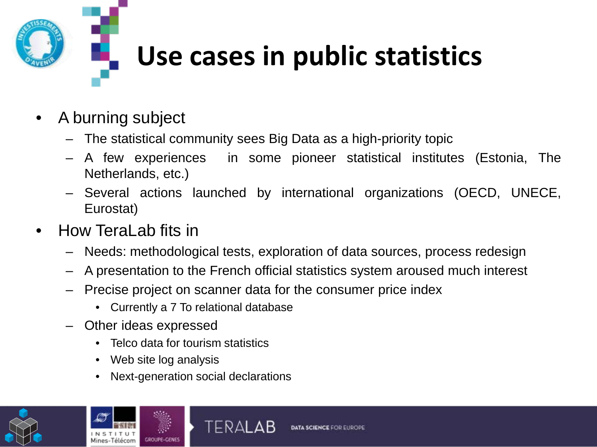

- A burning subject
	- The statistical community sees Big Data as a high-priority topic
	- A few experiences in some pioneer statistical institutes (Estonia, The Netherlands, etc.)
	- Several actions launched by international organizations (OECD, UNECE, Eurostat)
- How Teral ab fits in
	- Needs: methodological tests, exploration of data sources, process redesign
	- A presentation to the French official statistics system aroused much interest
	- Precise project on scanner data for the consumer price index
		- Currently a 7 To relational database
	- Other ideas expressed
		- Telco data for tourism statistics
		- Web site log analysis
		- Next-generation social declarations

TERAI



Mines-Télécom **GROUPE-GENES**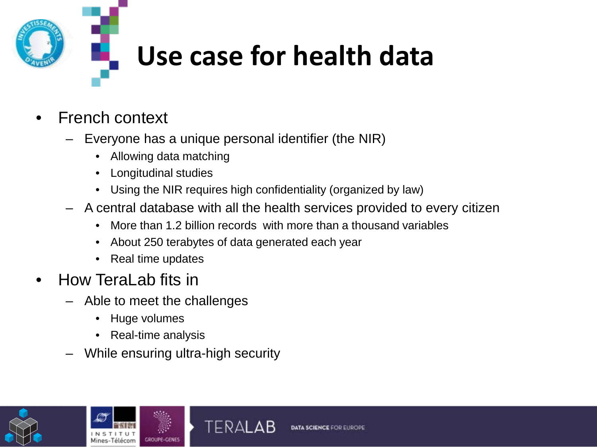

#### • French context

- Everyone has a unique personal identifier (the NIR)
	- Allowing data matching
	- Longitudinal studies
	- Using the NIR requires high confidentiality (organized by law)
- A central database with all the health services provided to every citizen
	- More than 1.2 billion records with more than a thousand variables
	- About 250 terabytes of data generated each year
	- Real time updates
- How TeraLab fits in
	- Able to meet the challenges
		- Huge volumes
		- Real-time analysis
	- While ensuring ultra-high security



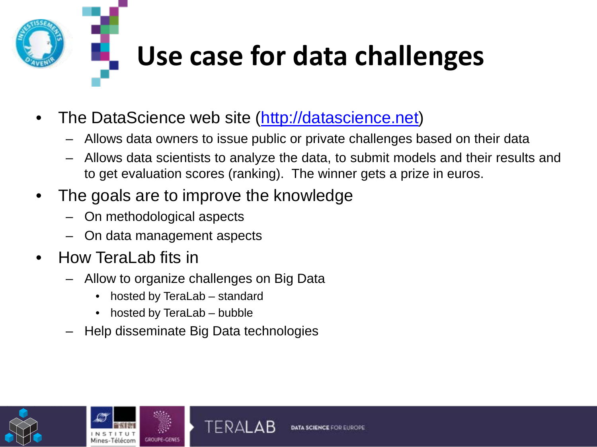

- The DataScience web site ([http://datascience.net\)](http://datascience.net/)
	- Allows data owners to issue public or private challenges based on their data
	- Allows data scientists to analyze the data, to submit models and their results and to get evaluation scores (ranking). The winner gets a prize in euros.
- The goals are to improve the knowledge
	- On methodological aspects
	- On data management aspects
- How TeraLab fits in
	- Allow to organize challenges on Big Data
		- hosted by TeraLab standard
		- hosted by TeraLab bubble
	- Help disseminate Big Data technologies



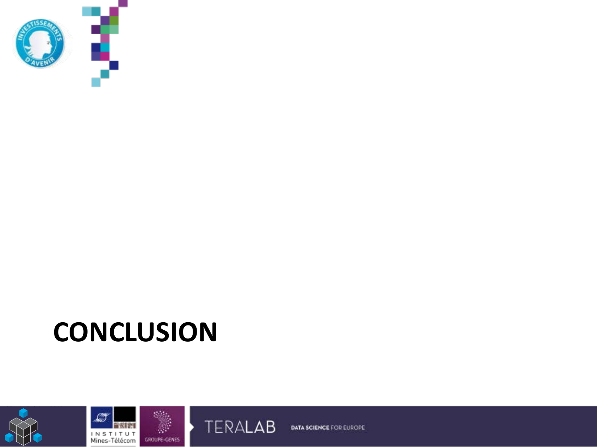

### **CONCLUSION**





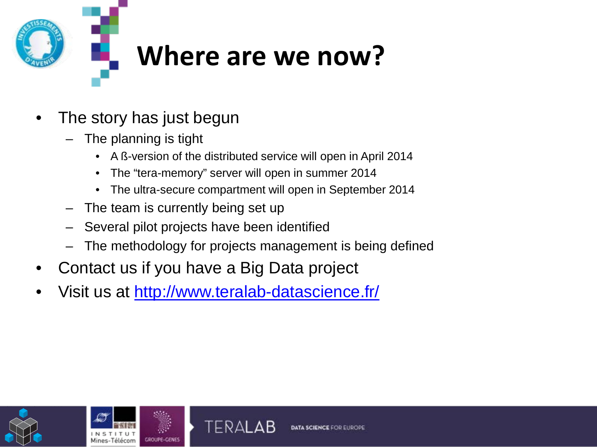

- The story has just begun
	- The planning is tight
		- A ß-version of the distributed service will open in April 2014
		- The "tera-memory" server will open in summer 2014
		- The ultra-secure compartment will open in September 2014
	- The team is currently being set up
	- Several pilot projects have been identified
	- The methodology for projects management is being defined
- Contact us if you have a Big Data project
- Visit us at <http://www.teralab-datascience.fr/>